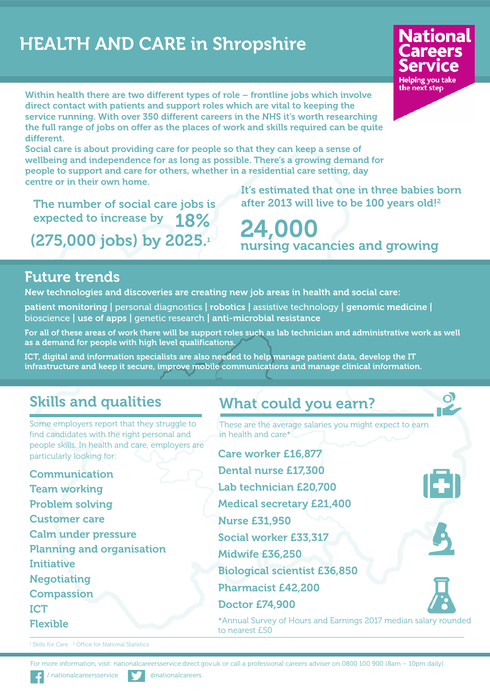# **HEALTH AND CARE in Shropshire**



റി

**Within health there are two different types of role – frontline jobs which involve direct contact with patients and support roles which are vital to keeping the service running. With over 350 different careers in the NHS it's worth researching the full range of jobs on offer as the places of work and skills required can be quite different.**

**Social care is about providing care for people so that they can keep a sense of wellbeing and independence for as long as possible. There's a growing demand for people to support and care for others, whether in a residential care setting, day centre or in their own home.**

**The number of social care jobs is expected to increase by 18% (275,000 jobs) by 2025.1**

**It's estimated that one in three babies born after 2013 will live to be 100 years old!2**

**nursing vacancies and growing 24,000**

#### **Future trends**

**New technologies and discoveries are creating new job areas in health and social care:**

**patient monitoring |** personal diagnostics **| robotics |** assistive technology **| genomic medicine |** bioscience **| use of apps |** genetic research **| anti-microbial resistance**

For all of these areas of work there will be support roles such as lab technician and administrative work as well **as a demand for people with high level qualifications.**

**ICT, digital and information specialists are also needed to help manage patient data, develop the IT infrastructure and keep it secure, improve mobile communications and manage clinical information.**

# **Skills and qualities**

Some employers report that they struggle to find candidates with the right personal and people skills. In health and care, employers are particularly looking for:

**Communication Team working Problem solving Customer care Calm under pressure Planning and organisation Initiative Negotiating Compassion ICT Flexible**

## **What could you earn?**

These are the average salaries you might expect to earn in health and care\*

**Care worker £16,877 Dental nurse £17,300 Lab technician £20,700 Medical secretary £21,400 Nurse £31,950 Social worker £33,317 Midwife £36,250 Biological scientist £36,850 Pharmacist £42,200 Doctor £74,900**

\*Annual Survey of Hours and Earnings 2017 median salary rounded to nearest £50

<sup>1</sup> Skills for Care <sup>2</sup> Office for National Statistics

For more information, visit: nationalcareersservice.direct.gov.uk or call a professional careers adviser on 0800 100 900 (8am – 10pm daily).